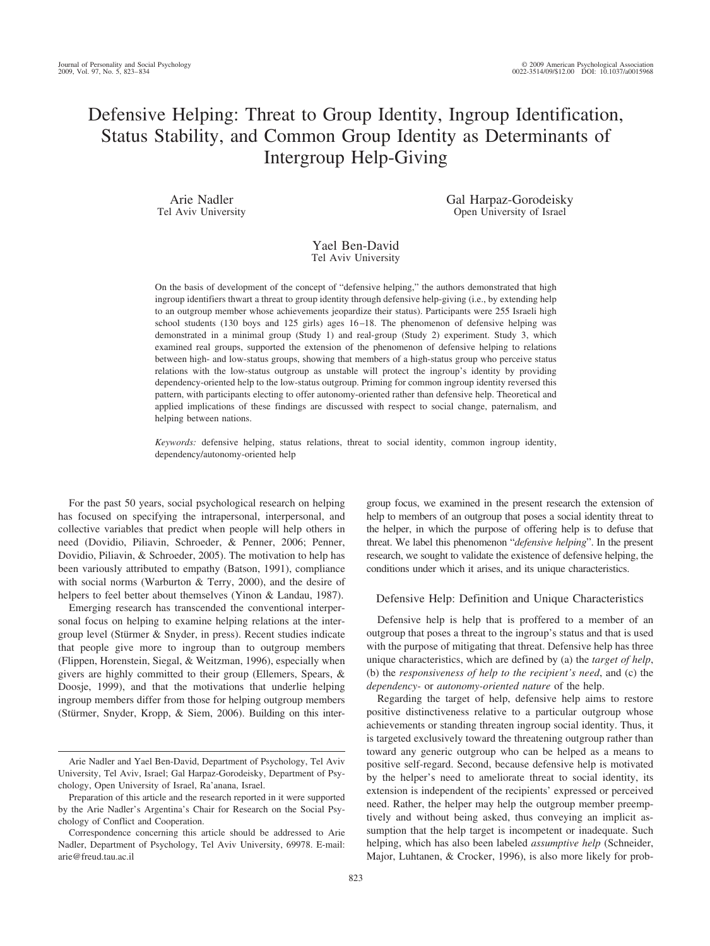# Defensive Helping: Threat to Group Identity, Ingroup Identification, Status Stability, and Common Group Identity as Determinants of Intergroup Help-Giving

Arie Nadler Tel Aviv University Gal Harpaz-Gorodeisky Open University of Israel

## Yael Ben-David Tel Aviv University

On the basis of development of the concept of "defensive helping," the authors demonstrated that high ingroup identifiers thwart a threat to group identity through defensive help-giving (i.e., by extending help to an outgroup member whose achievements jeopardize their status). Participants were 255 Israeli high school students (130 boys and 125 girls) ages 16 –18. The phenomenon of defensive helping was demonstrated in a minimal group (Study 1) and real-group (Study 2) experiment. Study 3, which examined real groups, supported the extension of the phenomenon of defensive helping to relations between high- and low-status groups, showing that members of a high-status group who perceive status relations with the low-status outgroup as unstable will protect the ingroup's identity by providing dependency-oriented help to the low-status outgroup. Priming for common ingroup identity reversed this pattern, with participants electing to offer autonomy-oriented rather than defensive help. Theoretical and applied implications of these findings are discussed with respect to social change, paternalism, and helping between nations.

*Keywords:* defensive helping, status relations, threat to social identity, common ingroup identity, dependency/autonomy-oriented help

For the past 50 years, social psychological research on helping has focused on specifying the intrapersonal, interpersonal, and collective variables that predict when people will help others in need (Dovidio, Piliavin, Schroeder, & Penner, 2006; Penner, Dovidio, Piliavin, & Schroeder, 2005). The motivation to help has been variously attributed to empathy (Batson, 1991), compliance with social norms (Warburton & Terry, 2000), and the desire of helpers to feel better about themselves (Yinon & Landau, 1987).

Emerging research has transcended the conventional interpersonal focus on helping to examine helping relations at the intergroup level (Stürmer & Snyder, in press). Recent studies indicate that people give more to ingroup than to outgroup members (Flippen, Horenstein, Siegal, & Weitzman, 1996), especially when givers are highly committed to their group (Ellemers, Spears, & Doosje, 1999), and that the motivations that underlie helping ingroup members differ from those for helping outgroup members (Stürmer, Snyder, Kropp, & Siem, 2006). Building on this intergroup focus, we examined in the present research the extension of help to members of an outgroup that poses a social identity threat to the helper, in which the purpose of offering help is to defuse that threat. We label this phenomenon "*defensive helping*". In the present research, we sought to validate the existence of defensive helping, the conditions under which it arises, and its unique characteristics.

#### Defensive Help: Definition and Unique Characteristics

Defensive help is help that is proffered to a member of an outgroup that poses a threat to the ingroup's status and that is used with the purpose of mitigating that threat. Defensive help has three unique characteristics, which are defined by (a) the *target of help*, (b) the *responsiveness of help to the recipient's need*, and (c) the *dependency-* or *autonomy-oriented nature* of the help.

Regarding the target of help, defensive help aims to restore positive distinctiveness relative to a particular outgroup whose achievements or standing threaten ingroup social identity. Thus, it is targeted exclusively toward the threatening outgroup rather than toward any generic outgroup who can be helped as a means to positive self-regard. Second, because defensive help is motivated by the helper's need to ameliorate threat to social identity, its extension is independent of the recipients' expressed or perceived need. Rather, the helper may help the outgroup member preemptively and without being asked, thus conveying an implicit assumption that the help target is incompetent or inadequate. Such helping, which has also been labeled *assumptive help* (Schneider, Major, Luhtanen, & Crocker, 1996), is also more likely for prob-

Arie Nadler and Yael Ben-David, Department of Psychology, Tel Aviv University, Tel Aviv, Israel; Gal Harpaz-Gorodeisky, Department of Psychology, Open University of Israel, Ra'anana, Israel.

Preparation of this article and the research reported in it were supported by the Arie Nadler's Argentina's Chair for Research on the Social Psychology of Conflict and Cooperation.

Correspondence concerning this article should be addressed to Arie Nadler, Department of Psychology, Tel Aviv University, 69978. E-mail: arie@freud.tau.ac.il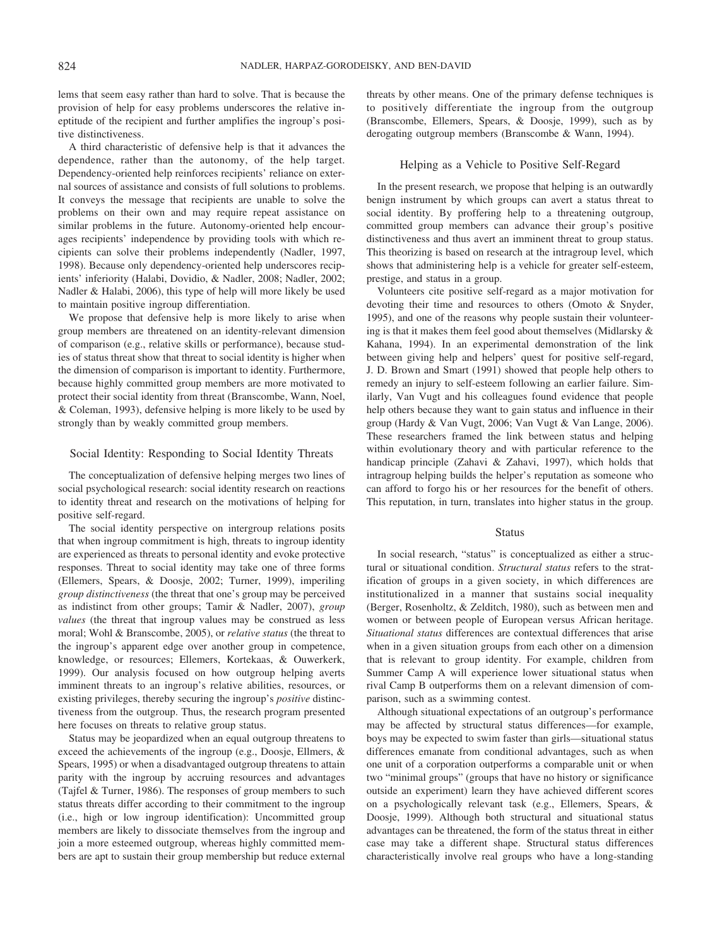lems that seem easy rather than hard to solve. That is because the provision of help for easy problems underscores the relative ineptitude of the recipient and further amplifies the ingroup's positive distinctiveness.

A third characteristic of defensive help is that it advances the dependence, rather than the autonomy, of the help target. Dependency-oriented help reinforces recipients' reliance on external sources of assistance and consists of full solutions to problems. It conveys the message that recipients are unable to solve the problems on their own and may require repeat assistance on similar problems in the future. Autonomy-oriented help encourages recipients' independence by providing tools with which recipients can solve their problems independently (Nadler, 1997, 1998). Because only dependency-oriented help underscores recipients' inferiority (Halabi, Dovidio, & Nadler, 2008; Nadler, 2002; Nadler & Halabi, 2006), this type of help will more likely be used to maintain positive ingroup differentiation.

We propose that defensive help is more likely to arise when group members are threatened on an identity-relevant dimension of comparison (e.g., relative skills or performance), because studies of status threat show that threat to social identity is higher when the dimension of comparison is important to identity. Furthermore, because highly committed group members are more motivated to protect their social identity from threat (Branscombe, Wann, Noel, & Coleman, 1993), defensive helping is more likely to be used by strongly than by weakly committed group members.

#### Social Identity: Responding to Social Identity Threats

The conceptualization of defensive helping merges two lines of social psychological research: social identity research on reactions to identity threat and research on the motivations of helping for positive self-regard.

The social identity perspective on intergroup relations posits that when ingroup commitment is high, threats to ingroup identity are experienced as threats to personal identity and evoke protective responses. Threat to social identity may take one of three forms (Ellemers, Spears, & Doosje, 2002; Turner, 1999), imperiling *group distinctiveness* (the threat that one's group may be perceived as indistinct from other groups; Tamir & Nadler, 2007), *group values* (the threat that ingroup values may be construed as less moral; Wohl & Branscombe, 2005), or *relative status* (the threat to the ingroup's apparent edge over another group in competence, knowledge, or resources; Ellemers, Kortekaas, & Ouwerkerk, 1999). Our analysis focused on how outgroup helping averts imminent threats to an ingroup's relative abilities, resources, or existing privileges, thereby securing the ingroup's *positive* distinctiveness from the outgroup. Thus, the research program presented here focuses on threats to relative group status.

Status may be jeopardized when an equal outgroup threatens to exceed the achievements of the ingroup (e.g., Doosje, Ellmers, & Spears, 1995) or when a disadvantaged outgroup threatens to attain parity with the ingroup by accruing resources and advantages (Tajfel & Turner, 1986). The responses of group members to such status threats differ according to their commitment to the ingroup (i.e., high or low ingroup identification): Uncommitted group members are likely to dissociate themselves from the ingroup and join a more esteemed outgroup, whereas highly committed members are apt to sustain their group membership but reduce external threats by other means. One of the primary defense techniques is to positively differentiate the ingroup from the outgroup (Branscombe, Ellemers, Spears, & Doosje, 1999), such as by derogating outgroup members (Branscombe & Wann, 1994).

# Helping as a Vehicle to Positive Self-Regard

In the present research, we propose that helping is an outwardly benign instrument by which groups can avert a status threat to social identity. By proffering help to a threatening outgroup, committed group members can advance their group's positive distinctiveness and thus avert an imminent threat to group status. This theorizing is based on research at the intragroup level, which shows that administering help is a vehicle for greater self-esteem, prestige, and status in a group.

Volunteers cite positive self-regard as a major motivation for devoting their time and resources to others (Omoto & Snyder, 1995), and one of the reasons why people sustain their volunteering is that it makes them feel good about themselves (Midlarsky & Kahana, 1994). In an experimental demonstration of the link between giving help and helpers' quest for positive self-regard, J. D. Brown and Smart (1991) showed that people help others to remedy an injury to self-esteem following an earlier failure. Similarly, Van Vugt and his colleagues found evidence that people help others because they want to gain status and influence in their group (Hardy & Van Vugt, 2006; Van Vugt & Van Lange, 2006). These researchers framed the link between status and helping within evolutionary theory and with particular reference to the handicap principle (Zahavi & Zahavi, 1997), which holds that intragroup helping builds the helper's reputation as someone who can afford to forgo his or her resources for the benefit of others. This reputation, in turn, translates into higher status in the group.

## Status

In social research, "status" is conceptualized as either a structural or situational condition. *Structural status* refers to the stratification of groups in a given society, in which differences are institutionalized in a manner that sustains social inequality (Berger, Rosenholtz, & Zelditch, 1980), such as between men and women or between people of European versus African heritage. *Situational status* differences are contextual differences that arise when in a given situation groups from each other on a dimension that is relevant to group identity. For example, children from Summer Camp A will experience lower situational status when rival Camp B outperforms them on a relevant dimension of comparison, such as a swimming contest.

Although situational expectations of an outgroup's performance may be affected by structural status differences—for example, boys may be expected to swim faster than girls—situational status differences emanate from conditional advantages, such as when one unit of a corporation outperforms a comparable unit or when two "minimal groups" (groups that have no history or significance outside an experiment) learn they have achieved different scores on a psychologically relevant task (e.g., Ellemers, Spears, & Doosje, 1999). Although both structural and situational status advantages can be threatened, the form of the status threat in either case may take a different shape. Structural status differences characteristically involve real groups who have a long-standing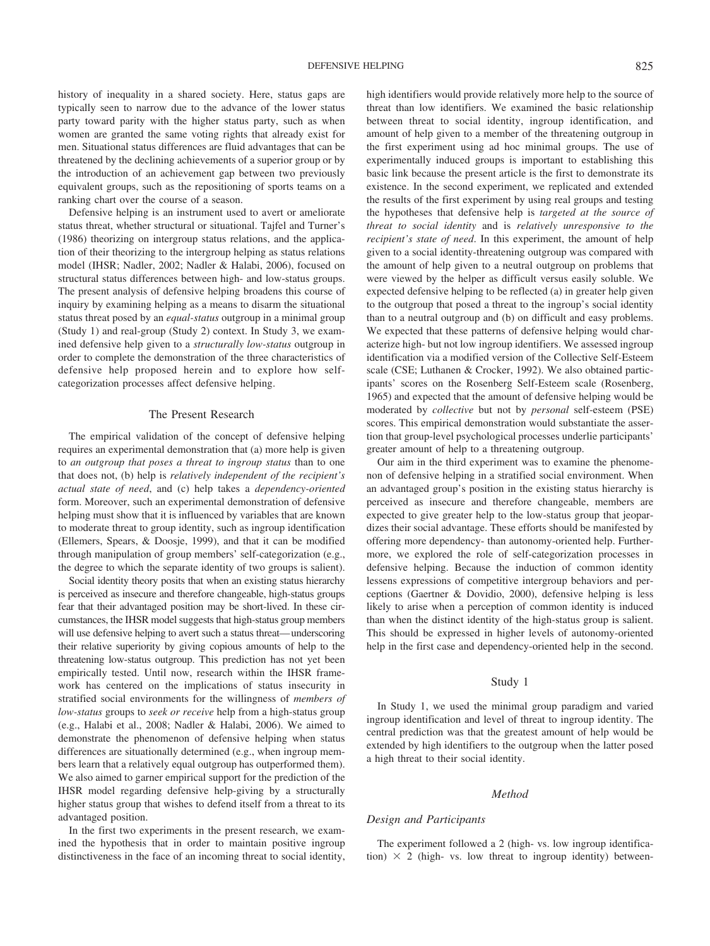history of inequality in a shared society. Here, status gaps are typically seen to narrow due to the advance of the lower status party toward parity with the higher status party, such as when women are granted the same voting rights that already exist for men. Situational status differences are fluid advantages that can be threatened by the declining achievements of a superior group or by the introduction of an achievement gap between two previously equivalent groups, such as the repositioning of sports teams on a ranking chart over the course of a season.

Defensive helping is an instrument used to avert or ameliorate status threat, whether structural or situational. Tajfel and Turner's (1986) theorizing on intergroup status relations, and the application of their theorizing to the intergroup helping as status relations model (IHSR; Nadler, 2002; Nadler & Halabi, 2006), focused on structural status differences between high- and low-status groups. The present analysis of defensive helping broadens this course of inquiry by examining helping as a means to disarm the situational status threat posed by an *equal-status* outgroup in a minimal group (Study 1) and real-group (Study 2) context. In Study 3, we examined defensive help given to a *structurally low-status* outgroup in order to complete the demonstration of the three characteristics of defensive help proposed herein and to explore how selfcategorization processes affect defensive helping.

# The Present Research

The empirical validation of the concept of defensive helping requires an experimental demonstration that (a) more help is given to *an outgroup that poses a threat to ingroup status* than to one that does not, (b) help is *relatively independent of the recipient's actual state of need*, and (c) help takes a *dependency-oriented* form. Moreover, such an experimental demonstration of defensive helping must show that it is influenced by variables that are known to moderate threat to group identity, such as ingroup identification (Ellemers, Spears, & Doosje, 1999), and that it can be modified through manipulation of group members' self-categorization (e.g., the degree to which the separate identity of two groups is salient).

Social identity theory posits that when an existing status hierarchy is perceived as insecure and therefore changeable, high-status groups fear that their advantaged position may be short-lived. In these circumstances, the IHSR model suggests that high-status group members will use defensive helping to avert such a status threat— underscoring their relative superiority by giving copious amounts of help to the threatening low-status outgroup. This prediction has not yet been empirically tested. Until now, research within the IHSR framework has centered on the implications of status insecurity in stratified social environments for the willingness of *members of low-status* groups to *seek or receive* help from a high-status group (e.g., Halabi et al., 2008; Nadler & Halabi, 2006). We aimed to demonstrate the phenomenon of defensive helping when status differences are situationally determined (e.g., when ingroup members learn that a relatively equal outgroup has outperformed them). We also aimed to garner empirical support for the prediction of the IHSR model regarding defensive help-giving by a structurally higher status group that wishes to defend itself from a threat to its advantaged position.

In the first two experiments in the present research, we examined the hypothesis that in order to maintain positive ingroup distinctiveness in the face of an incoming threat to social identity, high identifiers would provide relatively more help to the source of threat than low identifiers. We examined the basic relationship between threat to social identity, ingroup identification, and amount of help given to a member of the threatening outgroup in the first experiment using ad hoc minimal groups. The use of experimentally induced groups is important to establishing this basic link because the present article is the first to demonstrate its existence. In the second experiment, we replicated and extended the results of the first experiment by using real groups and testing the hypotheses that defensive help is *targeted at the source of threat to social identity* and is *relatively unresponsive to the recipient's state of need*. In this experiment, the amount of help given to a social identity-threatening outgroup was compared with the amount of help given to a neutral outgroup on problems that were viewed by the helper as difficult versus easily soluble. We expected defensive helping to be reflected (a) in greater help given to the outgroup that posed a threat to the ingroup's social identity than to a neutral outgroup and (b) on difficult and easy problems. We expected that these patterns of defensive helping would characterize high- but not low ingroup identifiers. We assessed ingroup identification via a modified version of the Collective Self-Esteem scale (CSE; Luthanen & Crocker, 1992). We also obtained participants' scores on the Rosenberg Self-Esteem scale (Rosenberg, 1965) and expected that the amount of defensive helping would be moderated by *collective* but not by *personal* self-esteem (PSE) scores. This empirical demonstration would substantiate the assertion that group-level psychological processes underlie participants' greater amount of help to a threatening outgroup.

Our aim in the third experiment was to examine the phenomenon of defensive helping in a stratified social environment. When an advantaged group's position in the existing status hierarchy is perceived as insecure and therefore changeable, members are expected to give greater help to the low-status group that jeopardizes their social advantage. These efforts should be manifested by offering more dependency- than autonomy-oriented help. Furthermore, we explored the role of self-categorization processes in defensive helping. Because the induction of common identity lessens expressions of competitive intergroup behaviors and perceptions (Gaertner & Dovidio, 2000), defensive helping is less likely to arise when a perception of common identity is induced than when the distinct identity of the high-status group is salient. This should be expressed in higher levels of autonomy-oriented help in the first case and dependency-oriented help in the second.

## Study 1

In Study 1, we used the minimal group paradigm and varied ingroup identification and level of threat to ingroup identity. The central prediction was that the greatest amount of help would be extended by high identifiers to the outgroup when the latter posed a high threat to their social identity.

#### *Method*

## *Design and Participants*

The experiment followed a 2 (high- vs. low ingroup identification)  $\times$  2 (high- vs. low threat to ingroup identity) between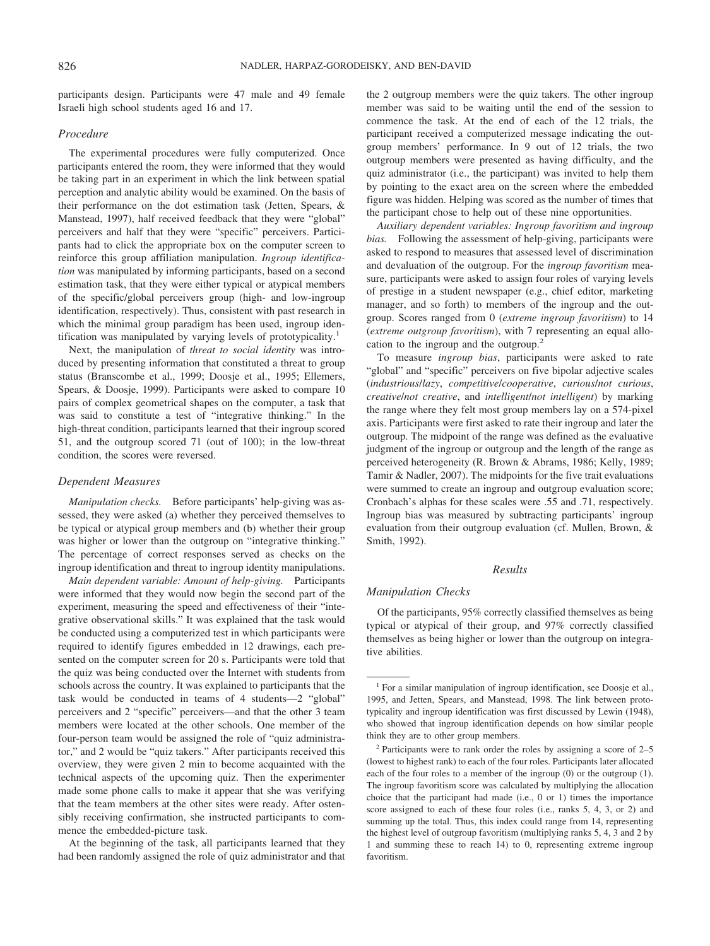participants design. Participants were 47 male and 49 female Israeli high school students aged 16 and 17.

## *Procedure*

The experimental procedures were fully computerized. Once participants entered the room, they were informed that they would be taking part in an experiment in which the link between spatial perception and analytic ability would be examined. On the basis of their performance on the dot estimation task (Jetten, Spears, & Manstead, 1997), half received feedback that they were "global" perceivers and half that they were "specific" perceivers. Participants had to click the appropriate box on the computer screen to reinforce this group affiliation manipulation. *Ingroup identification* was manipulated by informing participants, based on a second estimation task, that they were either typical or atypical members of the specific/global perceivers group (high- and low-ingroup identification, respectively). Thus, consistent with past research in which the minimal group paradigm has been used, ingroup identification was manipulated by varying levels of prototypicality.<sup>1</sup>

Next, the manipulation of *threat to social identity* was introduced by presenting information that constituted a threat to group status (Branscombe et al., 1999; Doosje et al., 1995; Ellemers, Spears, & Doosje, 1999). Participants were asked to compare 10 pairs of complex geometrical shapes on the computer, a task that was said to constitute a test of "integrative thinking." In the high-threat condition, participants learned that their ingroup scored 51, and the outgroup scored 71 (out of 100); in the low-threat condition, the scores were reversed.

#### *Dependent Measures*

*Manipulation checks.* Before participants' help-giving was assessed, they were asked (a) whether they perceived themselves to be typical or atypical group members and (b) whether their group was higher or lower than the outgroup on "integrative thinking." The percentage of correct responses served as checks on the ingroup identification and threat to ingroup identity manipulations.

*Main dependent variable: Amount of help-giving.* Participants were informed that they would now begin the second part of the experiment, measuring the speed and effectiveness of their "integrative observational skills." It was explained that the task would be conducted using a computerized test in which participants were required to identify figures embedded in 12 drawings, each presented on the computer screen for 20 s. Participants were told that the quiz was being conducted over the Internet with students from schools across the country. It was explained to participants that the task would be conducted in teams of 4 students—2 "global" perceivers and 2 "specific" perceivers—and that the other 3 team members were located at the other schools. One member of the four-person team would be assigned the role of "quiz administrator," and 2 would be "quiz takers." After participants received this overview, they were given 2 min to become acquainted with the technical aspects of the upcoming quiz. Then the experimenter made some phone calls to make it appear that she was verifying that the team members at the other sites were ready. After ostensibly receiving confirmation, she instructed participants to commence the embedded-picture task.

At the beginning of the task, all participants learned that they had been randomly assigned the role of quiz administrator and that the 2 outgroup members were the quiz takers. The other ingroup member was said to be waiting until the end of the session to commence the task. At the end of each of the 12 trials, the participant received a computerized message indicating the outgroup members' performance. In 9 out of 12 trials, the two outgroup members were presented as having difficulty, and the quiz administrator (i.e., the participant) was invited to help them by pointing to the exact area on the screen where the embedded figure was hidden. Helping was scored as the number of times that the participant chose to help out of these nine opportunities.

*Auxiliary dependent variables: Ingroup favoritism and ingroup bias.* Following the assessment of help-giving, participants were asked to respond to measures that assessed level of discrimination and devaluation of the outgroup. For the *ingroup favoritism* measure, participants were asked to assign four roles of varying levels of prestige in a student newspaper (e.g., chief editor, marketing manager, and so forth) to members of the ingroup and the outgroup. Scores ranged from 0 (*extreme ingroup favoritism*) to 14 (*extreme outgroup favoritism*), with 7 representing an equal allocation to the ingroup and the outgroup.2

To measure *ingroup bias*, participants were asked to rate "global" and "specific" perceivers on five bipolar adjective scales (*industrious*/*lazy*, *competitive*/*cooperative*, *curious*/*not curious*, *creative*/*not creative*, and *intelligent*/*not intelligent*) by marking the range where they felt most group members lay on a 574-pixel axis. Participants were first asked to rate their ingroup and later the outgroup. The midpoint of the range was defined as the evaluative judgment of the ingroup or outgroup and the length of the range as perceived heterogeneity (R. Brown & Abrams, 1986; Kelly, 1989; Tamir & Nadler, 2007). The midpoints for the five trait evaluations were summed to create an ingroup and outgroup evaluation score; Cronbach's alphas for these scales were .55 and .71, respectively. Ingroup bias was measured by subtracting participants' ingroup evaluation from their outgroup evaluation (cf. Mullen, Brown, & Smith, 1992).

## *Results*

#### *Manipulation Checks*

Of the participants, 95% correctly classified themselves as being typical or atypical of their group, and 97% correctly classified themselves as being higher or lower than the outgroup on integrative abilities.

 $1$  For a similar manipulation of ingroup identification, see Doosje et al., 1995, and Jetten, Spears, and Manstead, 1998. The link between prototypicality and ingroup identification was first discussed by Lewin (1948), who showed that ingroup identification depends on how similar people think they are to other group members.

<sup>2</sup> Participants were to rank order the roles by assigning a score of 2–5 (lowest to highest rank) to each of the four roles. Participants later allocated each of the four roles to a member of the ingroup (0) or the outgroup (1). The ingroup favoritism score was calculated by multiplying the allocation choice that the participant had made (i.e., 0 or 1) times the importance score assigned to each of these four roles (i.e., ranks 5, 4, 3, or 2) and summing up the total. Thus, this index could range from 14, representing the highest level of outgroup favoritism (multiplying ranks 5, 4, 3 and 2 by 1 and summing these to reach 14) to 0, representing extreme ingroup favoritism.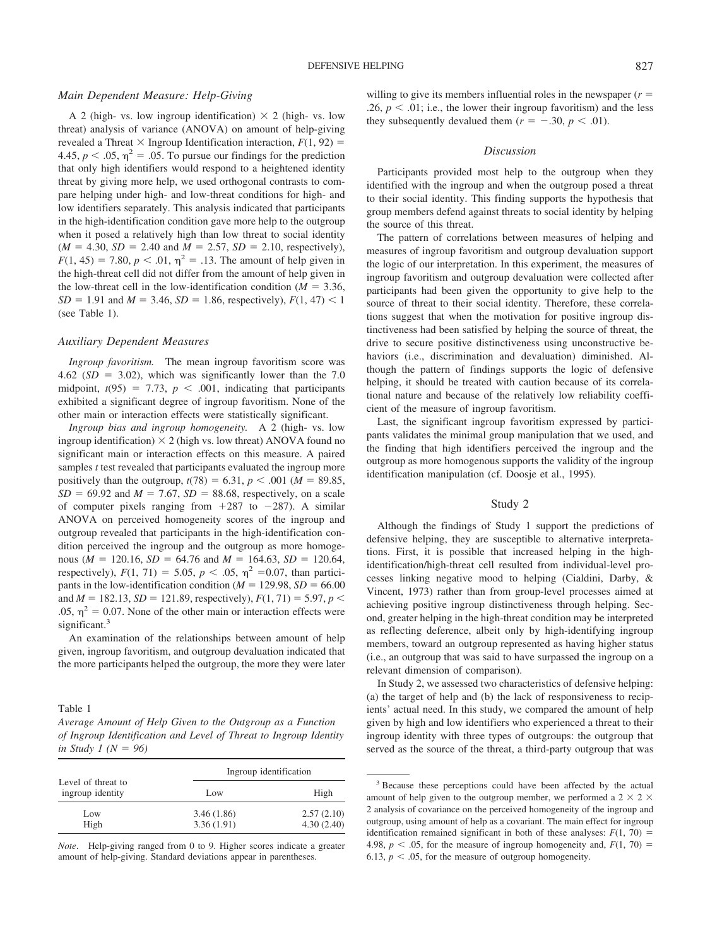#### *Main Dependent Measure: Help-Giving*

A 2 (high- vs. low ingroup identification)  $\times$  2 (high- vs. low threat) analysis of variance (ANOVA) on amount of help-giving revealed a Threat  $\times$  Ingroup Identification interaction,  $F(1, 92)$  = 4.45,  $p < .05$ ,  $\eta^2 = .05$ . To pursue our findings for the prediction that only high identifiers would respond to a heightened identity threat by giving more help, we used orthogonal contrasts to compare helping under high- and low-threat conditions for high- and low identifiers separately. This analysis indicated that participants in the high-identification condition gave more help to the outgroup when it posed a relatively high than low threat to social identity  $(M = 4.30, SD = 2.40 \text{ and } M = 2.57, SD = 2.10, respectively)$ ,  $F(1, 45) = 7.80, p < .01, \eta^2 = .13$ . The amount of help given in the high-threat cell did not differ from the amount of help given in the low-threat cell in the low-identification condition ( $M = 3.36$ ,  $SD = 1.91$  and  $M = 3.46$ ,  $SD = 1.86$ , respectively),  $F(1, 47) < 1$ (see Table 1).

#### *Auxiliary Dependent Measures*

*Ingroup favoritism.* The mean ingroup favoritism score was  $4.62$  ( $SD = 3.02$ ), which was significantly lower than the 7.0 midpoint,  $t(95) = 7.73$ ,  $p < .001$ , indicating that participants exhibited a significant degree of ingroup favoritism. None of the other main or interaction effects were statistically significant.

*Ingroup bias and ingroup homogeneity.* A 2 (high- vs. low ingroup identification)  $\times$  2 (high vs. low threat) ANOVA found no significant main or interaction effects on this measure. A paired samples *t* test revealed that participants evaluated the ingroup more positively than the outgroup,  $t(78) = 6.31, p < .001$  ( $M = 89.85$ ,  $SD = 69.92$  and  $M = 7.67$ ,  $SD = 88.68$ , respectively, on a scale of computer pixels ranging from  $+287$  to  $-287$ ). A similar ANOVA on perceived homogeneity scores of the ingroup and outgroup revealed that participants in the high-identification condition perceived the ingroup and the outgroup as more homogenous ( $M = 120.16$ ,  $SD = 64.76$  and  $M = 164.63$ ,  $SD = 120.64$ , respectively),  $F(1, 71) = 5.05$ ,  $p < .05$ ,  $\eta^2 = 0.07$ , than participants in the low-identification condition  $(M = 129.98, SD = 66.00)$ and  $M = 182.13$ ,  $SD = 121.89$ , respectively),  $F(1, 71) = 5.97$ ,  $p <$ .05,  $\eta^2 = 0.07$ . None of the other main or interaction effects were significant.<sup>3</sup>

An examination of the relationships between amount of help given, ingroup favoritism, and outgroup devaluation indicated that the more participants helped the outgroup, the more they were later

Table 1

*Average Amount of Help Given to the Outgroup as a Function of Ingroup Identification and Level of Threat to Ingroup Identity in Study 1 (N = 96)* 

| Ingroup identification |                          |  |
|------------------------|--------------------------|--|
| Low                    | High                     |  |
| 3.46(1.86)             | 2.57(2.10)<br>4.30(2.40) |  |
|                        | 3.36(1.91)               |  |

*Note*. Help-giving ranged from 0 to 9. Higher scores indicate a greater amount of help-giving. Standard deviations appear in parentheses.

willing to give its members influential roles in the newspaper  $(r =$ .26,  $p < .01$ ; i.e., the lower their ingroup favoritism) and the less they subsequently devalued them  $(r = -.30, p < .01)$ .

## *Discussion*

Participants provided most help to the outgroup when they identified with the ingroup and when the outgroup posed a threat to their social identity. This finding supports the hypothesis that group members defend against threats to social identity by helping the source of this threat.

The pattern of correlations between measures of helping and measures of ingroup favoritism and outgroup devaluation support the logic of our interpretation. In this experiment, the measures of ingroup favoritism and outgroup devaluation were collected after participants had been given the opportunity to give help to the source of threat to their social identity. Therefore, these correlations suggest that when the motivation for positive ingroup distinctiveness had been satisfied by helping the source of threat, the drive to secure positive distinctiveness using unconstructive behaviors (i.e., discrimination and devaluation) diminished. Although the pattern of findings supports the logic of defensive helping, it should be treated with caution because of its correlational nature and because of the relatively low reliability coefficient of the measure of ingroup favoritism.

Last, the significant ingroup favoritism expressed by participants validates the minimal group manipulation that we used, and the finding that high identifiers perceived the ingroup and the outgroup as more homogenous supports the validity of the ingroup identification manipulation (cf. Doosje et al., 1995).

# Study 2

Although the findings of Study 1 support the predictions of defensive helping, they are susceptible to alternative interpretations. First, it is possible that increased helping in the highidentification/high-threat cell resulted from individual-level processes linking negative mood to helping (Cialdini, Darby, & Vincent, 1973) rather than from group-level processes aimed at achieving positive ingroup distinctiveness through helping. Second, greater helping in the high-threat condition may be interpreted as reflecting deference, albeit only by high-identifying ingroup members, toward an outgroup represented as having higher status (i.e., an outgroup that was said to have surpassed the ingroup on a relevant dimension of comparison).

In Study 2, we assessed two characteristics of defensive helping: (a) the target of help and (b) the lack of responsiveness to recipients' actual need. In this study, we compared the amount of help given by high and low identifiers who experienced a threat to their ingroup identity with three types of outgroups: the outgroup that served as the source of the threat, a third-party outgroup that was

<sup>&</sup>lt;sup>3</sup> Because these perceptions could have been affected by the actual amount of help given to the outgroup member, we performed a  $2 \times 2 \times$ 2 analysis of covariance on the perceived homogeneity of the ingroup and outgroup, using amount of help as a covariant. The main effect for ingroup identification remained significant in both of these analyses:  $F(1, 70) =$ 4.98,  $p < .05$ , for the measure of ingroup homogeneity and,  $F(1, 70) =$ 6.13,  $p < .05$ , for the measure of outgroup homogeneity.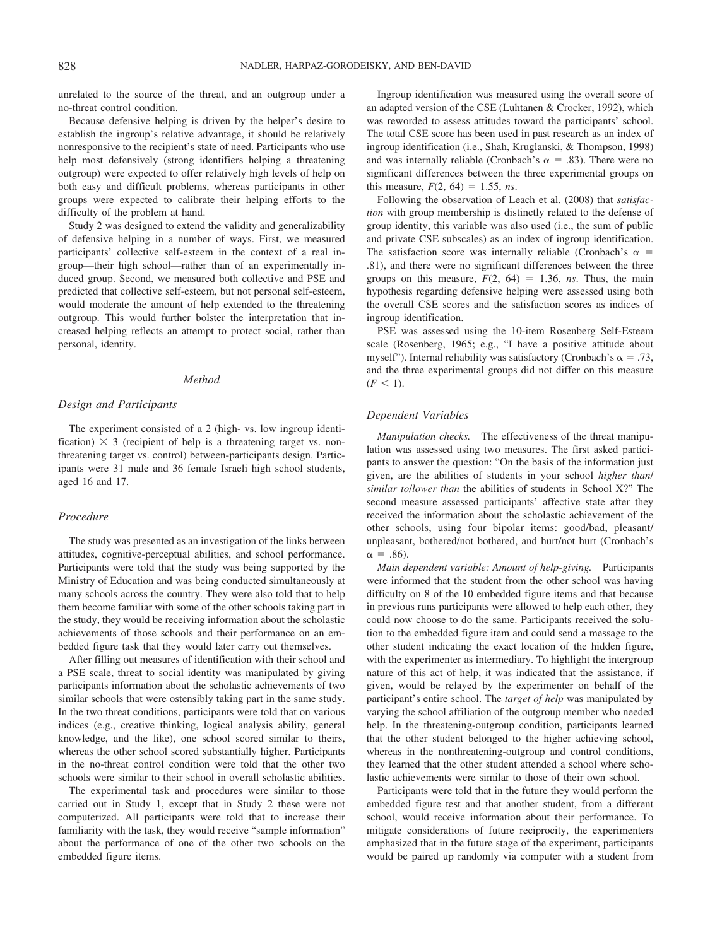unrelated to the source of the threat, and an outgroup under a no-threat control condition.

Because defensive helping is driven by the helper's desire to establish the ingroup's relative advantage, it should be relatively nonresponsive to the recipient's state of need. Participants who use help most defensively (strong identifiers helping a threatening outgroup) were expected to offer relatively high levels of help on both easy and difficult problems, whereas participants in other groups were expected to calibrate their helping efforts to the difficulty of the problem at hand.

Study 2 was designed to extend the validity and generalizability of defensive helping in a number of ways. First, we measured participants' collective self-esteem in the context of a real ingroup—their high school—rather than of an experimentally induced group. Second, we measured both collective and PSE and predicted that collective self-esteem, but not personal self-esteem, would moderate the amount of help extended to the threatening outgroup. This would further bolster the interpretation that increased helping reflects an attempt to protect social, rather than personal, identity.

## *Method*

#### *Design and Participants*

The experiment consisted of a 2 (high- vs. low ingroup identification)  $\times$  3 (recipient of help is a threatening target vs. nonthreatening target vs. control) between-participants design. Participants were 31 male and 36 female Israeli high school students, aged 16 and 17.

## *Procedure*

The study was presented as an investigation of the links between attitudes, cognitive-perceptual abilities, and school performance. Participants were told that the study was being supported by the Ministry of Education and was being conducted simultaneously at many schools across the country. They were also told that to help them become familiar with some of the other schools taking part in the study, they would be receiving information about the scholastic achievements of those schools and their performance on an embedded figure task that they would later carry out themselves.

After filling out measures of identification with their school and a PSE scale, threat to social identity was manipulated by giving participants information about the scholastic achievements of two similar schools that were ostensibly taking part in the same study. In the two threat conditions, participants were told that on various indices (e.g., creative thinking, logical analysis ability, general knowledge, and the like), one school scored similar to theirs, whereas the other school scored substantially higher. Participants in the no-threat control condition were told that the other two schools were similar to their school in overall scholastic abilities.

The experimental task and procedures were similar to those carried out in Study 1, except that in Study 2 these were not computerized. All participants were told that to increase their familiarity with the task, they would receive "sample information" about the performance of one of the other two schools on the embedded figure items.

Ingroup identification was measured using the overall score of an adapted version of the CSE (Luhtanen & Crocker, 1992), which was reworded to assess attitudes toward the participants' school. The total CSE score has been used in past research as an index of ingroup identification (i.e., Shah, Kruglanski, & Thompson, 1998) and was internally reliable (Cronbach's  $\alpha = .83$ ). There were no significant differences between the three experimental groups on this measure,  $F(2, 64) = 1.55$ , *ns*.

Following the observation of Leach et al. (2008) that *satisfaction* with group membership is distinctly related to the defense of group identity, this variable was also used (i.e., the sum of public and private CSE subscales) as an index of ingroup identification. The satisfaction score was internally reliable (Cronbach's  $\alpha$  = .81), and there were no significant differences between the three groups on this measure,  $F(2, 64) = 1.36$ , *ns*. Thus, the main hypothesis regarding defensive helping were assessed using both the overall CSE scores and the satisfaction scores as indices of ingroup identification.

PSE was assessed using the 10-item Rosenberg Self-Esteem scale (Rosenberg, 1965; e.g., "I have a positive attitude about myself"). Internal reliability was satisfactory (Cronbach's  $\alpha = .73$ , and the three experimental groups did not differ on this measure  $(F < 1)$ .

#### *Dependent Variables*

*Manipulation checks.* The effectiveness of the threat manipulation was assessed using two measures. The first asked participants to answer the question: "On the basis of the information just given, are the abilities of students in your school *higher than*/ *similar to*/*lower than* the abilities of students in School X?" The second measure assessed participants' affective state after they received the information about the scholastic achievement of the other schools, using four bipolar items: good/bad, pleasant/ unpleasant, bothered/not bothered, and hurt/not hurt (Cronbach's  $\alpha = .86$ ).

*Main dependent variable: Amount of help-giving.* Participants were informed that the student from the other school was having difficulty on 8 of the 10 embedded figure items and that because in previous runs participants were allowed to help each other, they could now choose to do the same. Participants received the solution to the embedded figure item and could send a message to the other student indicating the exact location of the hidden figure, with the experimenter as intermediary. To highlight the intergroup nature of this act of help, it was indicated that the assistance, if given, would be relayed by the experimenter on behalf of the participant's entire school. The *target of help* was manipulated by varying the school affiliation of the outgroup member who needed help. In the threatening-outgroup condition, participants learned that the other student belonged to the higher achieving school, whereas in the nonthreatening-outgroup and control conditions, they learned that the other student attended a school where scholastic achievements were similar to those of their own school.

Participants were told that in the future they would perform the embedded figure test and that another student, from a different school, would receive information about their performance. To mitigate considerations of future reciprocity, the experimenters emphasized that in the future stage of the experiment, participants would be paired up randomly via computer with a student from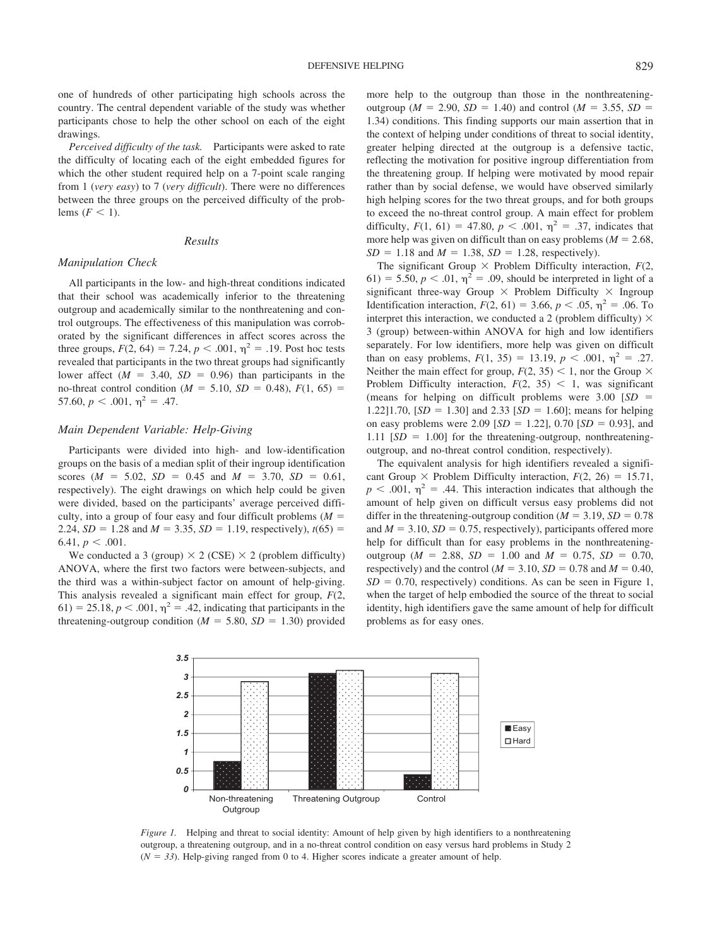one of hundreds of other participating high schools across the country. The central dependent variable of the study was whether participants chose to help the other school on each of the eight drawings.

*Perceived difficulty of the task.* Participants were asked to rate the difficulty of locating each of the eight embedded figures for which the other student required help on a 7-point scale ranging from 1 (*very easy*) to 7 (*very difficult*). There were no differences between the three groups on the perceived difficulty of the problems  $(F < 1)$ .

# *Results*

#### *Manipulation Check*

All participants in the low- and high-threat conditions indicated that their school was academically inferior to the threatening outgroup and academically similar to the nonthreatening and control outgroups. The effectiveness of this manipulation was corroborated by the significant differences in affect scores across the three groups,  $F(2, 64) = 7.24$ ,  $p < .001$ ,  $\eta^2 = .19$ . Post hoc tests revealed that participants in the two threat groups had significantly lower affect  $(M = 3.40, SD = 0.96)$  than participants in the no-threat control condition ( $M = 5.10$ ,  $SD = 0.48$ ),  $F(1, 65) =$  $57.60, p < .001, \eta^2 = .47.$ 

## *Main Dependent Variable: Help-Giving*

Participants were divided into high- and low-identification groups on the basis of a median split of their ingroup identification scores  $(M = 5.02, SD = 0.45 \text{ and } M = 3.70, SD = 0.61,$ respectively). The eight drawings on which help could be given were divided, based on the participants' average perceived difficulty, into a group of four easy and four difficult problems  $(M =$ 2.24,  $SD = 1.28$  and  $M = 3.35$ ,  $SD = 1.19$ , respectively),  $t(65) =$ 6.41,  $p < .001$ .

We conducted a 3 (group)  $\times$  2 (CSE)  $\times$  2 (problem difficulty) ANOVA, where the first two factors were between-subjects, and the third was a within-subject factor on amount of help-giving. This analysis revealed a significant main effect for group, *F*(2,  $(61) = 25.18, p < .001, \eta^2 = .42$ , indicating that participants in the threatening-outgroup condition  $(M = 5.80, SD = 1.30)$  provided

more help to the outgroup than those in the nonthreateningoutgroup ( $M = 2.90$ ,  $SD = 1.40$ ) and control ( $M = 3.55$ ,  $SD =$ 1.34) conditions. This finding supports our main assertion that in the context of helping under conditions of threat to social identity, greater helping directed at the outgroup is a defensive tactic, reflecting the motivation for positive ingroup differentiation from the threatening group. If helping were motivated by mood repair rather than by social defense, we would have observed similarly high helping scores for the two threat groups, and for both groups to exceed the no-threat control group. A main effect for problem difficulty,  $F(1, 61) = 47.80, p < .001, \eta^2 = .37$ , indicates that more help was given on difficult than on easy problems ( $M = 2.68$ ,  $SD = 1.18$  and  $M = 1.38$ ,  $SD = 1.28$ , respectively).

The significant Group  $\times$  Problem Difficulty interaction,  $F(2,$  $(61) = 5.50, p < .01, \eta^2 = .09$ , should be interpreted in light of a significant three-way Group  $\times$  Problem Difficulty  $\times$  Ingroup Identification interaction,  $F(2, 61) = 3.66$ ,  $p < .05$ ,  $\eta^2 = .06$ . To interpret this interaction, we conducted a 2 (problem difficulty)  $\times$ 3 (group) between-within ANOVA for high and low identifiers separately. For low identifiers, more help was given on difficult than on easy problems,  $F(1, 35) = 13.19$ ,  $p < .001$ ,  $\eta^2 = .27$ . Neither the main effect for group,  $F(2, 35) < 1$ , nor the Group  $\times$ Problem Difficulty interaction,  $F(2, 35) < 1$ , was significant (means for helping on difficult problems were  $3.00$   $[SD =$ 1.22] 1.70,  $[SD = 1.30]$  and 2.33  $[SD = 1.60]$ ; means for helping on easy problems were 2.09  $[SD = 1.22]$ , 0.70  $[SD = 0.93]$ , and  $1.11$  [ $SD = 1.00$ ] for the threatening-outgroup, nonthreateningoutgroup, and no-threat control condition, respectively).

The equivalent analysis for high identifiers revealed a significant Group  $\times$  Problem Difficulty interaction,  $F(2, 26) = 15.71$ ,  $p < .001$ ,  $\eta^2 = .44$ . This interaction indicates that although the amount of help given on difficult versus easy problems did not differ in the threatening-outgroup condition ( $M = 3.19$ ,  $SD = 0.78$ and  $M = 3.10$ ,  $SD = 0.75$ , respectively), participants offered more help for difficult than for easy problems in the nonthreateningoutgroup ( $M = 2.88$ ,  $SD = 1.00$  and  $M = 0.75$ ,  $SD = 0.70$ , respectively) and the control ( $M = 3.10$ ,  $SD = 0.78$  and  $M = 0.40$ ,  $SD = 0.70$ , respectively) conditions. As can be seen in Figure 1, when the target of help embodied the source of the threat to social identity, high identifiers gave the same amount of help for difficult problems as for easy ones.



*Figure 1.* Helping and threat to social identity: Amount of help given by high identifiers to a nonthreatening outgroup, a threatening outgroup, and in a no-threat control condition on easy versus hard problems in Study 2  $(N = 33)$ . Help-giving ranged from 0 to 4. Higher scores indicate a greater amount of help.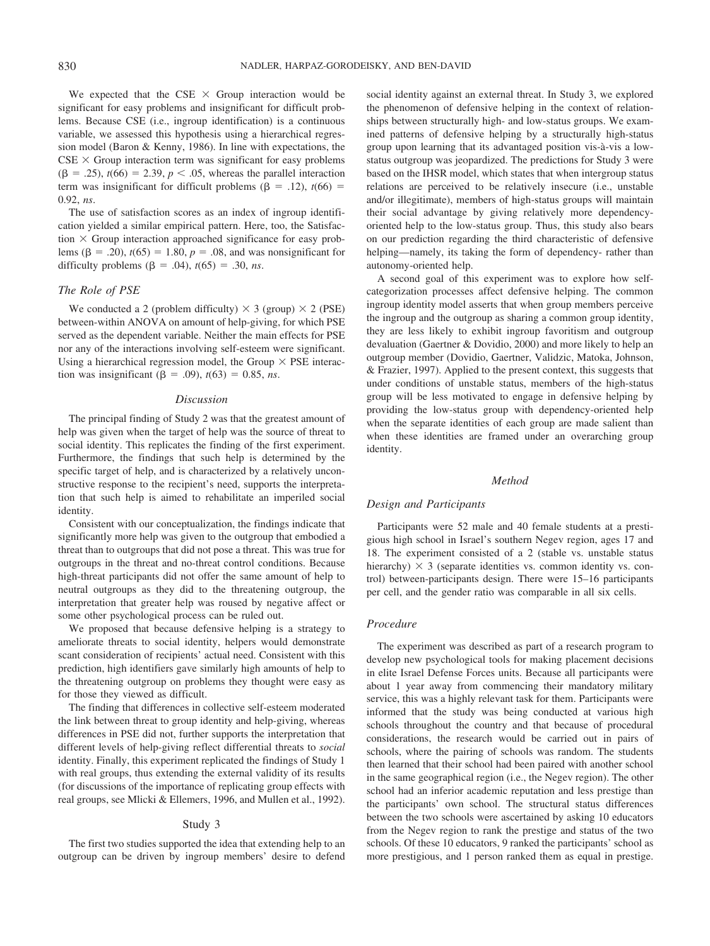We expected that the CSE  $\times$  Group interaction would be significant for easy problems and insignificant for difficult problems. Because CSE (i.e., ingroup identification) is a continuous variable, we assessed this hypothesis using a hierarchical regression model (Baron & Kenny, 1986). In line with expectations, the  $CSE \times$  Group interaction term was significant for easy problems  $(\beta = .25)$ ,  $t(66) = 2.39$ ,  $p < .05$ , whereas the parallel interaction term was insignificant for difficult problems ( $\beta$  = .12),  $t(66)$  = 0.92, *ns*.

The use of satisfaction scores as an index of ingroup identification yielded a similar empirical pattern. Here, too, the Satisfaction  $\times$  Group interaction approached significance for easy problems ( $\beta$  = .20),  $t(65) = 1.80, p = .08$ , and was nonsignificant for difficulty problems ( $\beta = .04$ ),  $t(65) = .30$ , *ns*.

## *The Role of PSE*

We conducted a 2 (problem difficulty)  $\times$  3 (group)  $\times$  2 (PSE) between-within ANOVA on amount of help-giving, for which PSE served as the dependent variable. Neither the main effects for PSE nor any of the interactions involving self-esteem were significant. Using a hierarchical regression model, the Group  $\times$  PSE interaction was insignificant ( $\beta = .09$ ),  $t(63) = 0.85$ , *ns*.

#### *Discussion*

The principal finding of Study 2 was that the greatest amount of help was given when the target of help was the source of threat to social identity. This replicates the finding of the first experiment. Furthermore, the findings that such help is determined by the specific target of help, and is characterized by a relatively unconstructive response to the recipient's need, supports the interpretation that such help is aimed to rehabilitate an imperiled social identity.

Consistent with our conceptualization, the findings indicate that significantly more help was given to the outgroup that embodied a threat than to outgroups that did not pose a threat. This was true for outgroups in the threat and no-threat control conditions. Because high-threat participants did not offer the same amount of help to neutral outgroups as they did to the threatening outgroup, the interpretation that greater help was roused by negative affect or some other psychological process can be ruled out.

We proposed that because defensive helping is a strategy to ameliorate threats to social identity, helpers would demonstrate scant consideration of recipients' actual need. Consistent with this prediction, high identifiers gave similarly high amounts of help to the threatening outgroup on problems they thought were easy as for those they viewed as difficult.

The finding that differences in collective self-esteem moderated the link between threat to group identity and help-giving, whereas differences in PSE did not, further supports the interpretation that different levels of help-giving reflect differential threats to *social* identity. Finally, this experiment replicated the findings of Study 1 with real groups, thus extending the external validity of its results (for discussions of the importance of replicating group effects with real groups, see Mlicki & Ellemers, 1996, and Mullen et al., 1992).

# Study 3

The first two studies supported the idea that extending help to an outgroup can be driven by ingroup members' desire to defend social identity against an external threat. In Study 3, we explored the phenomenon of defensive helping in the context of relationships between structurally high- and low-status groups. We examined patterns of defensive helping by a structurally high-status group upon learning that its advantaged position vis-à-vis a lowstatus outgroup was jeopardized. The predictions for Study 3 were based on the IHSR model, which states that when intergroup status relations are perceived to be relatively insecure (i.e., unstable and/or illegitimate), members of high-status groups will maintain their social advantage by giving relatively more dependencyoriented help to the low-status group. Thus, this study also bears on our prediction regarding the third characteristic of defensive helping—namely, its taking the form of dependency- rather than autonomy-oriented help.

A second goal of this experiment was to explore how selfcategorization processes affect defensive helping. The common ingroup identity model asserts that when group members perceive the ingroup and the outgroup as sharing a common group identity, they are less likely to exhibit ingroup favoritism and outgroup devaluation (Gaertner & Dovidio, 2000) and more likely to help an outgroup member (Dovidio, Gaertner, Validzic, Matoka, Johnson, & Frazier, 1997). Applied to the present context, this suggests that under conditions of unstable status, members of the high-status group will be less motivated to engage in defensive helping by providing the low-status group with dependency-oriented help when the separate identities of each group are made salient than when these identities are framed under an overarching group identity.

# *Method*

## *Design and Participants*

Participants were 52 male and 40 female students at a prestigious high school in Israel's southern Negev region, ages 17 and 18. The experiment consisted of a 2 (stable vs. unstable status hierarchy)  $\times$  3 (separate identities vs. common identity vs. control) between-participants design. There were 15–16 participants per cell, and the gender ratio was comparable in all six cells.

# *Procedure*

The experiment was described as part of a research program to develop new psychological tools for making placement decisions in elite Israel Defense Forces units. Because all participants were about 1 year away from commencing their mandatory military service, this was a highly relevant task for them. Participants were informed that the study was being conducted at various high schools throughout the country and that because of procedural considerations, the research would be carried out in pairs of schools, where the pairing of schools was random. The students then learned that their school had been paired with another school in the same geographical region (i.e., the Negev region). The other school had an inferior academic reputation and less prestige than the participants' own school. The structural status differences between the two schools were ascertained by asking 10 educators from the Negev region to rank the prestige and status of the two schools. Of these 10 educators, 9 ranked the participants' school as more prestigious, and 1 person ranked them as equal in prestige.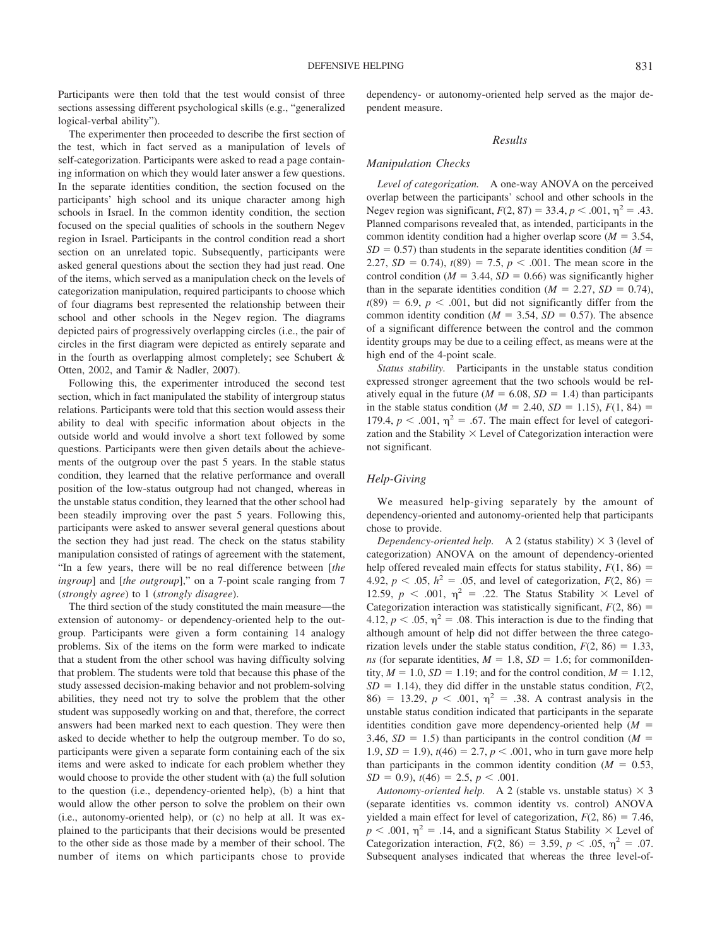Participants were then told that the test would consist of three sections assessing different psychological skills (e.g., "generalized logical-verbal ability").

The experimenter then proceeded to describe the first section of the test, which in fact served as a manipulation of levels of self-categorization. Participants were asked to read a page containing information on which they would later answer a few questions. In the separate identities condition, the section focused on the participants' high school and its unique character among high schools in Israel. In the common identity condition, the section focused on the special qualities of schools in the southern Negev region in Israel. Participants in the control condition read a short section on an unrelated topic. Subsequently, participants were asked general questions about the section they had just read. One of the items, which served as a manipulation check on the levels of categorization manipulation, required participants to choose which of four diagrams best represented the relationship between their school and other schools in the Negev region. The diagrams depicted pairs of progressively overlapping circles (i.e., the pair of circles in the first diagram were depicted as entirely separate and in the fourth as overlapping almost completely; see Schubert  $\&$ Otten, 2002, and Tamir & Nadler, 2007).

Following this, the experimenter introduced the second test section, which in fact manipulated the stability of intergroup status relations. Participants were told that this section would assess their ability to deal with specific information about objects in the outside world and would involve a short text followed by some questions. Participants were then given details about the achievements of the outgroup over the past 5 years. In the stable status condition, they learned that the relative performance and overall position of the low-status outgroup had not changed, whereas in the unstable status condition, they learned that the other school had been steadily improving over the past 5 years. Following this, participants were asked to answer several general questions about the section they had just read. The check on the status stability manipulation consisted of ratings of agreement with the statement, "In a few years, there will be no real difference between [*the ingroup*] and [*the outgroup*]," on a 7-point scale ranging from 7 (*strongly agree*) to 1 (*strongly disagree*).

The third section of the study constituted the main measure—the extension of autonomy- or dependency-oriented help to the outgroup. Participants were given a form containing 14 analogy problems. Six of the items on the form were marked to indicate that a student from the other school was having difficulty solving that problem. The students were told that because this phase of the study assessed decision-making behavior and not problem-solving abilities, they need not try to solve the problem that the other student was supposedly working on and that, therefore, the correct answers had been marked next to each question. They were then asked to decide whether to help the outgroup member. To do so, participants were given a separate form containing each of the six items and were asked to indicate for each problem whether they would choose to provide the other student with (a) the full solution to the question (i.e., dependency-oriented help), (b) a hint that would allow the other person to solve the problem on their own (i.e., autonomy-oriented help), or (c) no help at all. It was explained to the participants that their decisions would be presented to the other side as those made by a member of their school. The number of items on which participants chose to provide dependency- or autonomy-oriented help served as the major dependent measure.

## *Results*

# *Manipulation Checks*

*Level of categorization.* A one-way ANOVA on the perceived overlap between the participants' school and other schools in the Negev region was significant,  $F(2, 87) = 33.4$ ,  $p < .001$ ,  $\eta^2 = .43$ . Planned comparisons revealed that, as intended, participants in the common identity condition had a higher overlap score ( $M = 3.54$ ,  $SD = 0.57$ ) than students in the separate identities condition ( $M =$ 2.27,  $SD = 0.74$ ),  $t(89) = 7.5$ ,  $p < .001$ . The mean score in the control condition ( $M = 3.44$ ,  $SD = 0.66$ ) was significantly higher than in the separate identities condition ( $M = 2.27$ ,  $SD = 0.74$ ),  $t(89) = 6.9, p < .001$ , but did not significantly differ from the common identity condition ( $M = 3.54$ ,  $SD = 0.57$ ). The absence of a significant difference between the control and the common identity groups may be due to a ceiling effect, as means were at the high end of the 4-point scale.

*Status stability.* Participants in the unstable status condition expressed stronger agreement that the two schools would be relatively equal in the future ( $M = 6.08$ ,  $SD = 1.4$ ) than participants in the stable status condition ( $M = 2.40$ ,  $SD = 1.15$ ),  $F(1, 84) =$ 179.4,  $p < .001$ ,  $\eta^2 = .67$ . The main effect for level of categorization and the Stability  $\times$  Level of Categorization interaction were not significant.

## *Help-Giving*

We measured help-giving separately by the amount of dependency-oriented and autonomy-oriented help that participants chose to provide.

*Dependency-oriented help.* A 2 (status stability)  $\times$  3 (level of categorization) ANOVA on the amount of dependency-oriented help offered revealed main effects for status stability,  $F(1, 86) =$ 4.92,  $p < .05$ ,  $h^2 = .05$ , and level of categorization,  $F(2, 86) =$ 12.59,  $p < .001$ ,  $\eta^2 = .22$ . The Status Stability  $\times$  Level of Categorization interaction was statistically significant,  $F(2, 86) =$ 4.12,  $p < .05$ ,  $\eta^2 = .08$ . This interaction is due to the finding that although amount of help did not differ between the three categorization levels under the stable status condition,  $F(2, 86) = 1.33$ , *ns* (for separate identities,  $M = 1.8$ ,  $SD = 1.6$ ; for commoniIdentity,  $M = 1.0$ ,  $SD = 1.19$ ; and for the control condition,  $M = 1.12$ ,  $SD = 1.14$ ), they did differ in the unstable status condition,  $F(2, 1.14)$ 86) = 13.29,  $p < .001$ ,  $\eta^2 = .38$ . A contrast analysis in the unstable status condition indicated that participants in the separate identities condition gave more dependency-oriented help  $(M =$ 3.46,  $SD = 1.5$ ) than participants in the control condition ( $M =$ 1.9,  $SD = 1.9$ ),  $t(46) = 2.7$ ,  $p < .001$ , who in turn gave more help than participants in the common identity condition  $(M = 0.53)$ ,  $SD = 0.9$ ,  $t(46) = 2.5$ ,  $p < .001$ .

*Autonomy-oriented help.* A 2 (stable vs. unstable status)  $\times$  3 (separate identities vs. common identity vs. control) ANOVA yielded a main effect for level of categorization,  $F(2, 86) = 7.46$ ,  $p < .001$ ,  $\eta^2 = .14$ , and a significant Status Stability  $\times$  Level of Categorization interaction,  $F(2, 86) = 3.59$ ,  $p < .05$ ,  $\eta^2 = .07$ . Subsequent analyses indicated that whereas the three level-of-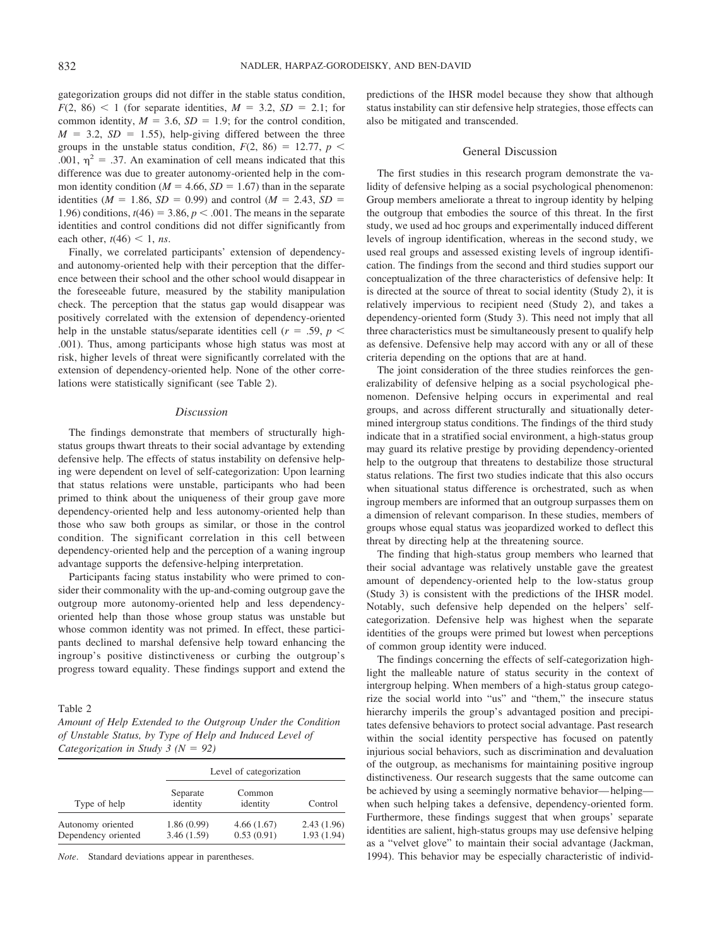gategorization groups did not differ in the stable status condition,  $F(2, 86) < 1$  (for separate identities,  $M = 3.2$ ,  $SD = 2.1$ ; for common identity,  $M = 3.6$ ,  $SD = 1.9$ ; for the control condition,  $M = 3.2$ ,  $SD = 1.55$ ), help-giving differed between the three groups in the unstable status condition,  $F(2, 86) = 12.77$ ,  $p <$ .001,  $\eta^2 = .37$ . An examination of cell means indicated that this difference was due to greater autonomy-oriented help in the common identity condition ( $M = 4.66$ ,  $SD = 1.67$ ) than in the separate identities ( $M = 1.86$ ,  $SD = 0.99$ ) and control ( $M = 2.43$ ,  $SD =$ 1.96) conditions,  $t(46) = 3.86$ ,  $p < .001$ . The means in the separate identities and control conditions did not differ significantly from each other,  $t(46) < 1$ , *ns*.

Finally, we correlated participants' extension of dependencyand autonomy-oriented help with their perception that the difference between their school and the other school would disappear in the foreseeable future, measured by the stability manipulation check. The perception that the status gap would disappear was positively correlated with the extension of dependency-oriented help in the unstable status/separate identities cell ( $r = .59$ ,  $p <$ .001). Thus, among participants whose high status was most at risk, higher levels of threat were significantly correlated with the extension of dependency-oriented help. None of the other correlations were statistically significant (see Table 2).

#### *Discussion*

The findings demonstrate that members of structurally highstatus groups thwart threats to their social advantage by extending defensive help. The effects of status instability on defensive helping were dependent on level of self-categorization: Upon learning that status relations were unstable, participants who had been primed to think about the uniqueness of their group gave more dependency-oriented help and less autonomy-oriented help than those who saw both groups as similar, or those in the control condition. The significant correlation in this cell between dependency-oriented help and the perception of a waning ingroup advantage supports the defensive-helping interpretation.

Participants facing status instability who were primed to consider their commonality with the up-and-coming outgroup gave the outgroup more autonomy-oriented help and less dependencyoriented help than those whose group status was unstable but whose common identity was not primed. In effect, these participants declined to marshal defensive help toward enhancing the ingroup's positive distinctiveness or curbing the outgroup's progress toward equality. These findings support and extend the

Table 2

*Amount of Help Extended to the Outgroup Under the Condition of Unstable Status, by Type of Help and Induced Level of Categorization in Study 3 (* $N = 92$ *)* 

|                                          | Level of categorization  |                          |                          |
|------------------------------------------|--------------------------|--------------------------|--------------------------|
| Type of help                             | Separate<br>identity     | Common<br>identity       | Control                  |
| Autonomy oriented<br>Dependency oriented | 1.86(0.99)<br>3.46(1.59) | 4.66(1.67)<br>0.53(0.91) | 2.43(1.96)<br>1.93(1.94) |

*Note*. Standard deviations appear in parentheses.

predictions of the IHSR model because they show that although status instability can stir defensive help strategies, those effects can also be mitigated and transcended.

## General Discussion

The first studies in this research program demonstrate the validity of defensive helping as a social psychological phenomenon: Group members ameliorate a threat to ingroup identity by helping the outgroup that embodies the source of this threat. In the first study, we used ad hoc groups and experimentally induced different levels of ingroup identification, whereas in the second study, we used real groups and assessed existing levels of ingroup identification. The findings from the second and third studies support our conceptualization of the three characteristics of defensive help: It is directed at the source of threat to social identity (Study 2), it is relatively impervious to recipient need (Study 2), and takes a dependency-oriented form (Study 3). This need not imply that all three characteristics must be simultaneously present to qualify help as defensive. Defensive help may accord with any or all of these criteria depending on the options that are at hand.

The joint consideration of the three studies reinforces the generalizability of defensive helping as a social psychological phenomenon. Defensive helping occurs in experimental and real groups, and across different structurally and situationally determined intergroup status conditions. The findings of the third study indicate that in a stratified social environment, a high-status group may guard its relative prestige by providing dependency-oriented help to the outgroup that threatens to destabilize those structural status relations. The first two studies indicate that this also occurs when situational status difference is orchestrated, such as when ingroup members are informed that an outgroup surpasses them on a dimension of relevant comparison. In these studies, members of groups whose equal status was jeopardized worked to deflect this threat by directing help at the threatening source.

The finding that high-status group members who learned that their social advantage was relatively unstable gave the greatest amount of dependency-oriented help to the low-status group (Study 3) is consistent with the predictions of the IHSR model. Notably, such defensive help depended on the helpers' selfcategorization. Defensive help was highest when the separate identities of the groups were primed but lowest when perceptions of common group identity were induced.

The findings concerning the effects of self-categorization highlight the malleable nature of status security in the context of intergroup helping. When members of a high-status group categorize the social world into "us" and "them," the insecure status hierarchy imperils the group's advantaged position and precipitates defensive behaviors to protect social advantage. Past research within the social identity perspective has focused on patently injurious social behaviors, such as discrimination and devaluation of the outgroup, as mechanisms for maintaining positive ingroup distinctiveness. Our research suggests that the same outcome can be achieved by using a seemingly normative behavior— helping when such helping takes a defensive, dependency-oriented form. Furthermore, these findings suggest that when groups' separate identities are salient, high-status groups may use defensive helping as a "velvet glove" to maintain their social advantage (Jackman, 1994). This behavior may be especially characteristic of individ-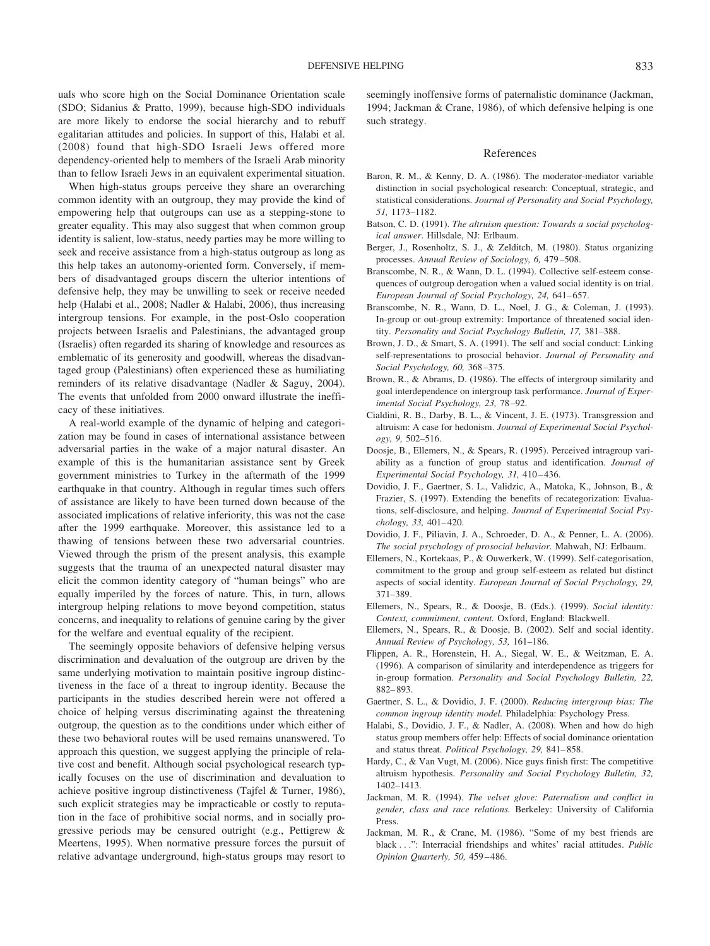uals who score high on the Social Dominance Orientation scale (SDO; Sidanius & Pratto, 1999), because high-SDO individuals are more likely to endorse the social hierarchy and to rebuff egalitarian attitudes and policies. In support of this, Halabi et al. (2008) found that high-SDO Israeli Jews offered more dependency-oriented help to members of the Israeli Arab minority than to fellow Israeli Jews in an equivalent experimental situation.

When high-status groups perceive they share an overarching common identity with an outgroup, they may provide the kind of empowering help that outgroups can use as a stepping-stone to greater equality. This may also suggest that when common group identity is salient, low-status, needy parties may be more willing to seek and receive assistance from a high-status outgroup as long as this help takes an autonomy-oriented form. Conversely, if members of disadvantaged groups discern the ulterior intentions of defensive help, they may be unwilling to seek or receive needed help (Halabi et al., 2008; Nadler & Halabi, 2006), thus increasing intergroup tensions. For example, in the post-Oslo cooperation projects between Israelis and Palestinians, the advantaged group (Israelis) often regarded its sharing of knowledge and resources as emblematic of its generosity and goodwill, whereas the disadvantaged group (Palestinians) often experienced these as humiliating reminders of its relative disadvantage (Nadler & Saguy, 2004). The events that unfolded from 2000 onward illustrate the inefficacy of these initiatives.

A real-world example of the dynamic of helping and categorization may be found in cases of international assistance between adversarial parties in the wake of a major natural disaster. An example of this is the humanitarian assistance sent by Greek government ministries to Turkey in the aftermath of the 1999 earthquake in that country. Although in regular times such offers of assistance are likely to have been turned down because of the associated implications of relative inferiority, this was not the case after the 1999 earthquake. Moreover, this assistance led to a thawing of tensions between these two adversarial countries. Viewed through the prism of the present analysis, this example suggests that the trauma of an unexpected natural disaster may elicit the common identity category of "human beings" who are equally imperiled by the forces of nature. This, in turn, allows intergroup helping relations to move beyond competition, status concerns, and inequality to relations of genuine caring by the giver for the welfare and eventual equality of the recipient.

The seemingly opposite behaviors of defensive helping versus discrimination and devaluation of the outgroup are driven by the same underlying motivation to maintain positive ingroup distinctiveness in the face of a threat to ingroup identity. Because the participants in the studies described herein were not offered a choice of helping versus discriminating against the threatening outgroup, the question as to the conditions under which either of these two behavioral routes will be used remains unanswered. To approach this question, we suggest applying the principle of relative cost and benefit. Although social psychological research typically focuses on the use of discrimination and devaluation to achieve positive ingroup distinctiveness (Tajfel & Turner, 1986), such explicit strategies may be impracticable or costly to reputation in the face of prohibitive social norms, and in socially progressive periods may be censured outright (e.g., Pettigrew & Meertens, 1995). When normative pressure forces the pursuit of relative advantage underground, high-status groups may resort to

seemingly inoffensive forms of paternalistic dominance (Jackman, 1994; Jackman & Crane, 1986), of which defensive helping is one such strategy.

#### References

- Baron, R. M., & Kenny, D. A. (1986). The moderator-mediator variable distinction in social psychological research: Conceptual, strategic, and statistical considerations. *Journal of Personality and Social Psychology, 51,* 1173–1182.
- Batson, C. D. (1991). *The altruism question: Towards a social psychological answer*. Hillsdale, NJ: Erlbaum.
- Berger, J., Rosenholtz, S. J., & Zelditch, M. (1980). Status organizing processes. *Annual Review of Sociology, 6,* 479 –508.
- Branscombe, N. R., & Wann, D. L. (1994). Collective self-esteem consequences of outgroup derogation when a valued social identity is on trial. European Journal of Social Psychology, 24, 641-657.
- Branscombe, N. R., Wann, D. L., Noel, J. G., & Coleman, J. (1993). In-group or out-group extremity: Importance of threatened social identity. *Personality and Social Psychology Bulletin, 17,* 381–388.
- Brown, J. D., & Smart, S. A. (1991). The self and social conduct: Linking self-representations to prosocial behavior. *Journal of Personality and Social Psychology, 60,* 368 –375.
- Brown, R., & Abrams, D. (1986). The effects of intergroup similarity and goal interdependence on intergroup task performance. *Journal of Experimental Social Psychology, 23,* 78 –92.
- Cialdini, R. B., Darby, B. L., & Vincent, J. E. (1973). Transgression and altruism: A case for hedonism. *Journal of Experimental Social Psychology, 9,* 502–516.
- Doosje, B., Ellemers, N., & Spears, R. (1995). Perceived intragroup variability as a function of group status and identification. *Journal of Experimental Social Psychology, 31,* 410 – 436.
- Dovidio, J. F., Gaertner, S. L., Validzic, A., Matoka, K., Johnson, B., & Frazier, S. (1997). Extending the benefits of recategorization: Evaluations, self-disclosure, and helping. *Journal of Experimental Social Psychology, 33,* 401– 420.
- Dovidio, J. F., Piliavin, J. A., Schroeder, D. A., & Penner, L. A. (2006). *The social psychology of prosocial behavior.* Mahwah, NJ: Erlbaum.
- Ellemers, N., Kortekaas, P., & Ouwerkerk, W. (1999). Self-categorisation, commitment to the group and group self-esteem as related but distinct aspects of social identity. *European Journal of Social Psychology, 29,* 371–389.
- Ellemers, N., Spears, R., & Doosje, B. (Eds.). (1999). *Social identity: Context, commitment, content.* Oxford, England: Blackwell.
- Ellemers, N., Spears, R., & Doosje, B. (2002). Self and social identity. *Annual Review of Psychology, 53,* 161–186.
- Flippen, A. R., Horenstein, H. A., Siegal, W. E., & Weitzman, E. A. (1996). A comparison of similarity and interdependence as triggers for in-group formation. *Personality and Social Psychology Bulletin, 22,* 882– 893.
- Gaertner, S. L., & Dovidio, J. F. (2000). *Reducing intergroup bias: The common ingroup identity model.* Philadelphia: Psychology Press.
- Halabi, S., Dovidio, J. F., & Nadler, A. (2008). When and how do high status group members offer help: Effects of social dominance orientation and status threat. *Political Psychology, 29,* 841– 858.
- Hardy, C., & Van Vugt, M. (2006). Nice guys finish first: The competitive altruism hypothesis. *Personality and Social Psychology Bulletin, 32,* 1402–1413.
- Jackman, M. R. (1994). *The velvet glove: Paternalism and conflict in gender, class and race relations.* Berkeley: University of California Press.
- Jackman, M. R., & Crane, M. (1986). "Some of my best friends are black . . .": Interracial friendships and whites' racial attitudes. *Public Opinion Quarterly, 50,* 459 – 486.